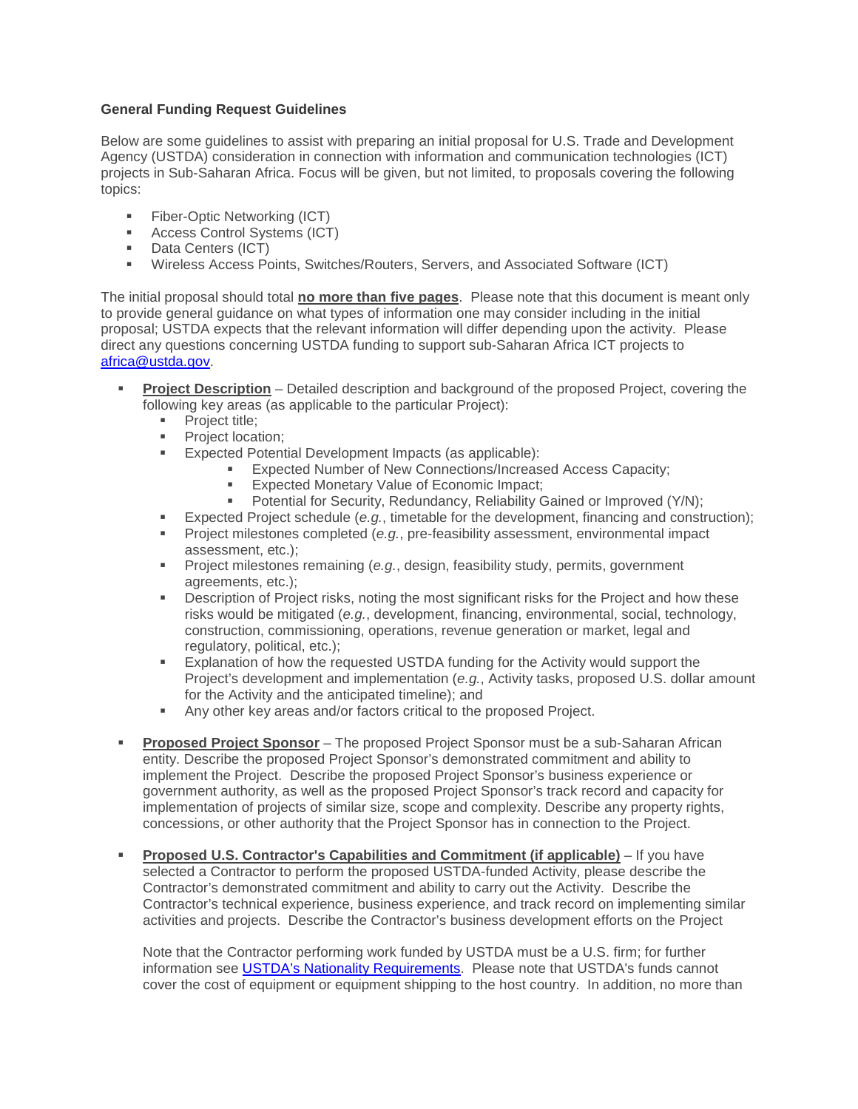## **General Funding Request Guidelines**

Below are some guidelines to assist with preparing an initial proposal for U.S. Trade and Development Agency (USTDA) consideration in connection with information and communication technologies (ICT) projects in Sub-Saharan Africa. Focus will be given, but not limited, to proposals covering the following topics:

- **Fiber-Optic Networking (ICT)**
- Access Control Systems (ICT)
- **Data Centers (ICT)**
- Wireless Access Points, Switches/Routers, Servers, and Associated Software (ICT)

The initial proposal should total **no more than five pages**. Please note that this document is meant only to provide general guidance on what types of information one may consider including in the initial proposal; USTDA expects that the relevant information will differ depending upon the activity. Please direct any questions concerning USTDA funding to support sub-Saharan Africa ICT projects to [africa@ustda.gov.](mailto:africa@ustda.gov)

- **Project Description** Detailed description and background of the proposed Project, covering the following key areas (as applicable to the particular Project):
	- **Project title;**
	- **Project location;**
	- **Expected Potential Development Impacts (as applicable):** 
		- **Expected Number of New Connections/Increased Access Capacity;**
		- **Expected Monetary Value of Economic Impact;**
		- **Potential for Security, Redundancy, Reliability Gained or Improved (Y/N);**
		- Expected Project schedule (*e.g.*, timetable for the development, financing and construction);
	- Project milestones completed (*e.g.*, pre-feasibility assessment, environmental impact assessment, etc.);
	- Project milestones remaining (*e.g.*, design, feasibility study, permits, government agreements, etc.);
	- **Description of Project risks, noting the most significant risks for the Project and how these** risks would be mitigated (*e.g.*, development, financing, environmental, social, technology, construction, commissioning, operations, revenue generation or market, legal and regulatory, political, etc.);
	- Explanation of how the requested USTDA funding for the Activity would support the Project's development and implementation (*e.g.*, Activity tasks, proposed U.S. dollar amount for the Activity and the anticipated timeline); and
	- Any other key areas and/or factors critical to the proposed Project.
- **Proposed Project Sponsor** The proposed Project Sponsor must be a sub-Saharan African entity. Describe the proposed Project Sponsor's demonstrated commitment and ability to implement the Project. Describe the proposed Project Sponsor's business experience or government authority, as well as the proposed Project Sponsor's track record and capacity for implementation of projects of similar size, scope and complexity. Describe any property rights, concessions, or other authority that the Project Sponsor has in connection to the Project.
- **Proposed U.S. Contractor's Capabilities and Commitment (if applicable)** If you have selected a Contractor to perform the proposed USTDA-funded Activity, please describe the Contractor's demonstrated commitment and ability to carry out the Activity. Describe the Contractor's technical experience, business experience, and track record on implementing similar activities and projects. Describe the Contractor's business development efforts on the Project

Note that the Contractor performing work funded by USTDA must be a U.S. firm; for further information see [USTDA's Nationality Requirements.](https://www.ustda.gov/business-opportunities/key-grant-documents/nationality-requirements) Please note that USTDA's funds cannot cover the cost of equipment or equipment shipping to the host country. In addition, no more than